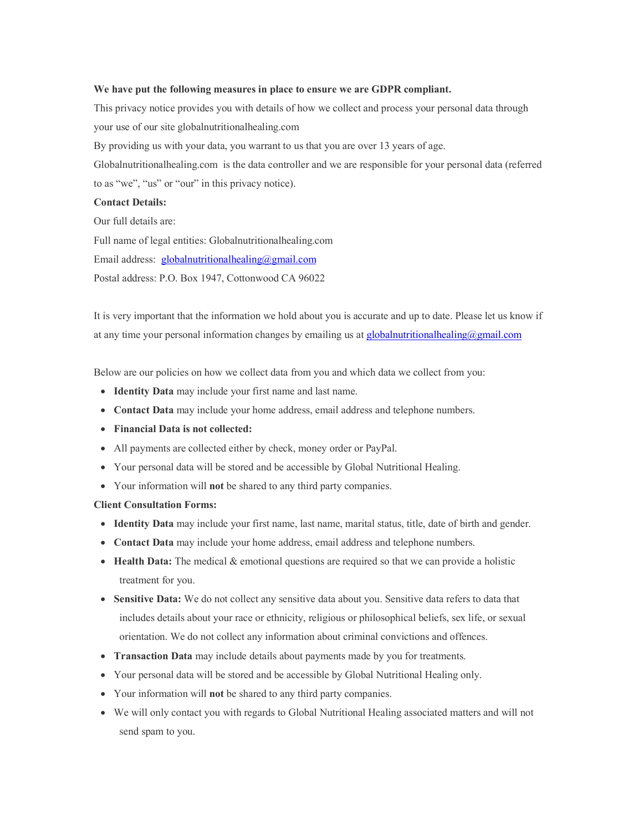#### **We have put the following measures in place to ensure we are GDPR compliant.**

This privacy notice provides you with details of how we collect and process your personal data through your use of our site globalnutritionalhealing.com By providing us with your data, you warrant to us that you are over 13 years of age. Globalnutritionalhealing.com is the data controller and we are responsible for your personal data (referred to as "we", "us" or "our" in this privacy notice). **Contact Details:**

Our full details are: Full name of legal entities: Globalnutritionalhealing.com Email address: globalnutritionalhealing@gmail.com Postal address: P.O. Box 1947, Cottonwood CA 96022

It is very important that the information we hold about you is accurate and up to date. Please let us know if at any time your personal information changes by emailing us at  $globalnutitionalhealing@gmail.com$ 

Below are our policies on how we collect data from you and which data we collect from you:

- **Identity Data** may include your first name and last name.
- **Contact Data** may include your home address, email address and telephone numbers.
- **Financial Data is not collected:**
- All payments are collected either by check, money order or PayPal.
- Your personal data will be stored and be accessible by Global Nutritional Healing.
- Your information will **not** be shared to any third party companies.

#### **Client Consultation Forms:**

- **Identity Data** may include your first name, last name, marital status, title, date of birth and gender.
- **Contact Data** may include your home address, email address and telephone numbers.
- **Health Data:** The medical & emotional questions are required so that we can provide a holistic treatment for you.
- **Sensitive Data:** We do not collect any sensitive data about you. Sensitive data refers to data that includes details about your race or ethnicity, religious or philosophical beliefs, sex life, or sexual orientation. We do not collect any information about criminal convictions and offences.
- **Transaction Data** may include details about payments made by you for treatments.
- Your personal data will be stored and be accessible by Global Nutritional Healing only.
- Your information will **not** be shared to any third party companies.
- We will only contact you with regards to Global Nutritional Healing associated matters and will not send spam to you.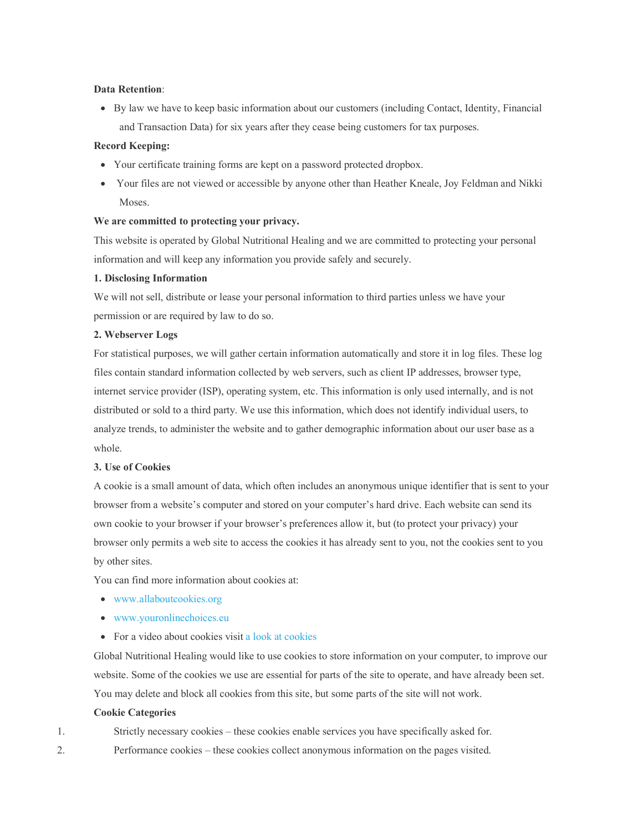# **Data Retention**:

• By law we have to keep basic information about our customers (including Contact, Identity, Financial and Transaction Data) for six years after they cease being customers for tax purposes.

# **Record Keeping:**

- Your certificate training forms are kept on a password protected dropbox.
- Your files are not viewed or accessible by anyone other than Heather Kneale, Joy Feldman and Nikki Moses.

### **We are committed to protecting your privacy.**

This website is operated by Global Nutritional Healing and we are committed to protecting your personal information and will keep any information you provide safely and securely.

### **1. Disclosing Information**

We will not sell, distribute or lease your personal information to third parties unless we have your permission or are required by law to do so.

### **2. Webserver Logs**

For statistical purposes, we will gather certain information automatically and store it in log files. These log files contain standard information collected by web servers, such as client IP addresses, browser type, internet service provider (ISP), operating system, etc. This information is only used internally, and is not distributed or sold to a third party. We use this information, which does not identify individual users, to analyze trends, to administer the website and to gather demographic information about our user base as a whole.

#### **3. Use of Cookies**

A cookie is a small amount of data, which often includes an anonymous unique identifier that is sent to your browser from a website's computer and stored on your computer's hard drive. Each website can send its own cookie to your browser if your browser's preferences allow it, but (to protect your privacy) your browser only permits a web site to access the cookies it has already sent to you, not the cookies sent to you by other sites.

You can find more information about cookies at:

- www.allaboutcookies.org
- www.youronlinechoices.eu
- For a video about cookies visit a look at cookies

Global Nutritional Healing would like to use cookies to store information on your computer, to improve our website. Some of the cookies we use are essential for parts of the site to operate, and have already been set. You may delete and block all cookies from this site, but some parts of the site will not work.

# **Cookie Categories**

- 1. Strictly necessary cookies these cookies enable services you have specifically asked for.
- 2. Performance cookies these cookies collect anonymous information on the pages visited.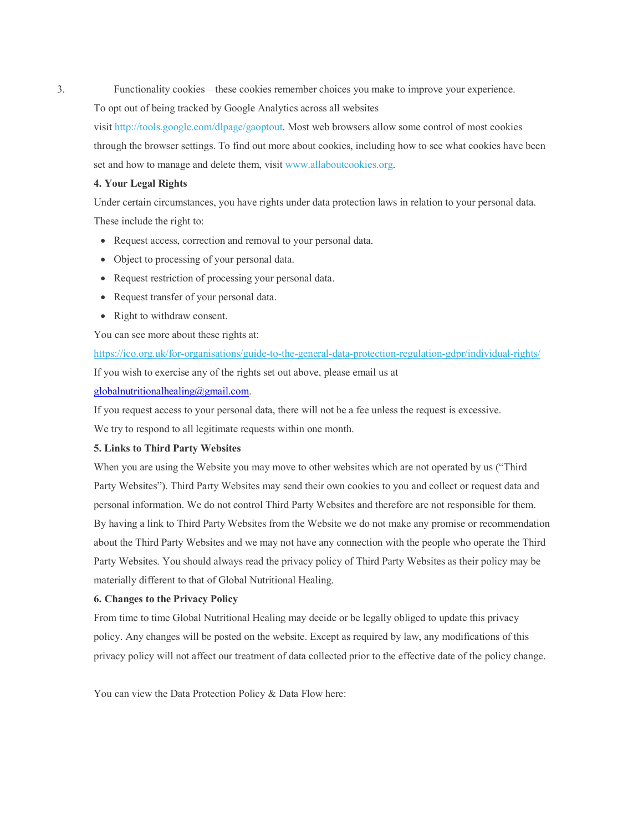3. Functionality cookies – these cookies remember choices you make to improve your experience.

To opt out of being tracked by Google Analytics across all websites

visit http://tools.google.com/dlpage/gaoptout. Most web browsers allow some control of most cookies through the browser settings. To find out more about cookies, including how to see what cookies have been set and how to manage and delete them, visit www.allaboutcookies.org.

#### **4. Your Legal Rights**

Under certain circumstances, you have rights under data protection laws in relation to your personal data. These include the right to:

- Request access, correction and removal to your personal data.
- Object to processing of your personal data.
- Request restriction of processing your personal data.
- Request transfer of your personal data.
- Right to withdraw consent.

You can see more about these rights at:

https://ico.org.uk/for-organisations/guide-to-the-general-data-protection-regulation-gdpr/individual-rights/ If you wish to exercise any of the rights set out above, please email us at

# globalnutritionalhealing@gmail.com.

If you request access to your personal data, there will not be a fee unless the request is excessive.

We try to respond to all legitimate requests within one month.

# **5. Links to Third Party Websites**

When you are using the Website you may move to other websites which are not operated by us ("Third Party Websites"). Third Party Websites may send their own cookies to you and collect or request data and personal information. We do not control Third Party Websites and therefore are not responsible for them. By having a link to Third Party Websites from the Website we do not make any promise or recommendation about the Third Party Websites and we may not have any connection with the people who operate the Third Party Websites. You should always read the privacy policy of Third Party Websites as their policy may be materially different to that of Global Nutritional Healing.

# **6. Changes to the Privacy Policy**

From time to time Global Nutritional Healing may decide or be legally obliged to update this privacy policy. Any changes will be posted on the website. Except as required by law, any modifications of this privacy policy will not affect our treatment of data collected prior to the effective date of the policy change.

You can view the Data Protection Policy & Data Flow here: